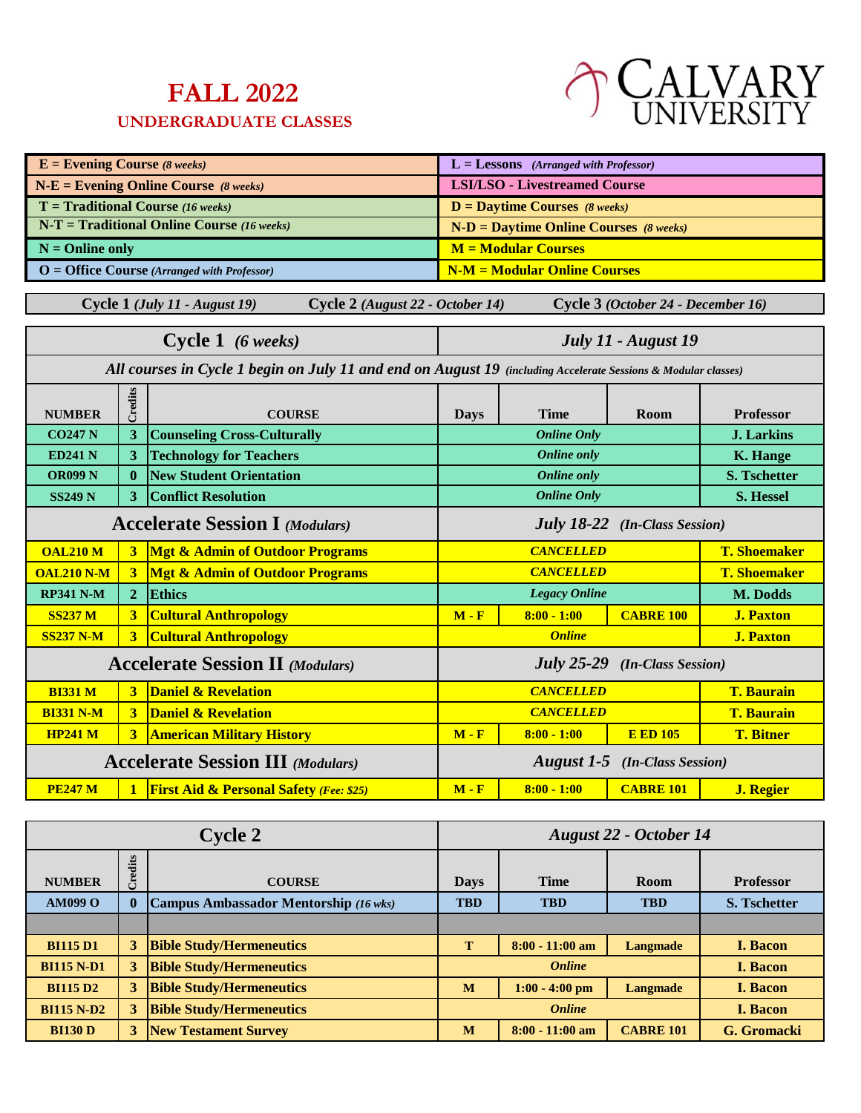## **FALL 2022**

## **UNDERGRADUATE CLASSES**



| $E =$ <b>Evening Course</b> (8 weeks)<br>$L =$ Lessons (Arranged with Professor) |                                          |                                                                                                                |                                         |                                          |                                      |                     |
|----------------------------------------------------------------------------------|------------------------------------------|----------------------------------------------------------------------------------------------------------------|-----------------------------------------|------------------------------------------|--------------------------------------|---------------------|
|                                                                                  |                                          | $N-E =$ Evening Online Course (8 weeks)                                                                        | <b>LSI/LSO - Livestreamed Course</b>    |                                          |                                      |                     |
|                                                                                  |                                          | $T =$ Traditional Course (16 weeks)                                                                            |                                         | $D =$ Daytime Courses (8 weeks)          |                                      |                     |
|                                                                                  |                                          | $N-T = Traditional Online Course (16 weeks)$                                                                   |                                         | $N-D =$ Daytime Online Courses (8 weeks) |                                      |                     |
| $N =$ Online only                                                                |                                          |                                                                                                                |                                         | <b>M</b> = Modular Courses               |                                      |                     |
|                                                                                  |                                          | $O =$ Office Course (Arranged with Professor)                                                                  |                                         | <b>N-M = Modular Online Courses</b>      |                                      |                     |
|                                                                                  |                                          | Cycle 1 (July 11 - August 19)<br>Cycle 2 (August 22 - October 14)                                              |                                         |                                          | Cycle 3 (October 24 - December 16)   |                     |
|                                                                                  |                                          | Cycle 1 (6 weeks)                                                                                              |                                         |                                          | July 11 - August 19                  |                     |
|                                                                                  |                                          |                                                                                                                |                                         |                                          |                                      |                     |
|                                                                                  |                                          | All courses in Cycle 1 begin on July 11 and end on August 19 (including Accelerate Sessions & Modular classes) |                                         |                                          |                                      |                     |
|                                                                                  | Credits                                  |                                                                                                                |                                         |                                          |                                      |                     |
| <b>NUMBER</b>                                                                    |                                          | <b>COURSE</b>                                                                                                  | <b>Days</b>                             | <b>Time</b>                              | Room                                 | <b>Professor</b>    |
| <b>CO247 N</b>                                                                   | $\mathbf{3}$                             | <b>Counseling Cross-Culturally</b>                                                                             |                                         | <b>Online Only</b>                       |                                      | <b>J.</b> Larkins   |
| <b>ED241 N</b>                                                                   | $\overline{\mathbf{3}}$                  | <b>Technology for Teachers</b>                                                                                 |                                         | <b>Online</b> only                       |                                      | <b>K. Hange</b>     |
| <b>OR099 N</b>                                                                   | $\mathbf{0}$                             | <b>New Student Orientation</b>                                                                                 |                                         | <b>Online</b> only                       |                                      | <b>S. Tschetter</b> |
| <b>SS249 N</b>                                                                   | 3                                        | <b>Conflict Resolution</b>                                                                                     |                                         | <b>Online Only</b>                       |                                      | S. Hessel           |
|                                                                                  |                                          | <b>Accelerate Session I (Modulars)</b>                                                                         | <b>July 18-22</b> (In-Class Session)    |                                          |                                      |                     |
| <b>OAL210 M</b>                                                                  | $\overline{\mathbf{3}}$                  | <b>Mgt &amp; Admin of Outdoor Programs</b>                                                                     |                                         | <b>CANCELLED</b>                         |                                      | <b>T. Shoemaker</b> |
| <b>OAL210 N-M</b>                                                                | $\overline{\mathbf{3}}$                  | <b>Mgt &amp; Admin of Outdoor Programs</b>                                                                     |                                         | <b>CANCELLED</b>                         |                                      | <b>T. Shoemaker</b> |
| <b>RP341 N-M</b>                                                                 | $\overline{2}$                           | <b>Ethics</b>                                                                                                  |                                         | <b>Legacy Online</b>                     |                                      | M. Dodds            |
| <b>SS237 M</b>                                                                   | $\overline{\mathbf{3}}$                  | <b>Cultural Anthropology</b>                                                                                   | $M - F$                                 | $8:00 - 1:00$                            | <b>CABRE 100</b>                     | <b>J. Paxton</b>    |
| <b>SS237 N-M</b>                                                                 | $\overline{\mathbf{3}}$                  | <b>Cultural Anthropology</b>                                                                                   |                                         | <b>Online</b>                            |                                      | <b>J. Paxton</b>    |
|                                                                                  |                                          | <b>Accelerate Session II</b> (Modulars)                                                                        | <b>July 25-29</b><br>(In-Class Session) |                                          |                                      |                     |
| <b>BI331 M</b>                                                                   | 3                                        | <b>Daniel &amp; Revelation</b>                                                                                 | <b>CANCELLED</b><br><b>T. Baurain</b>   |                                          |                                      |                     |
| <b>BI331 N-M</b>                                                                 | $\overline{\mathbf{3}}$                  | <b>Daniel &amp; Revelation</b>                                                                                 |                                         | <b>CANCELLED</b>                         |                                      | <b>T. Baurain</b>   |
| <b>HP241 M</b>                                                                   | $\overline{3}$                           | <b>American Military History</b>                                                                               | $M - F$                                 | $8:00 - 1:00$                            | <b>E ED 105</b>                      | <b>T. Bitner</b>    |
|                                                                                  | <b>Accelerate Session III</b> (Modulars) |                                                                                                                |                                         |                                          | <b>August 1-5</b> (In-Class Session) |                     |
| <b>PE247 M</b>                                                                   | $\blacksquare$                           | <b>First Aid &amp; Personal Safety (Fee: \$25)</b>                                                             | $M - F$                                 | $8:00 - 1:00$                            | <b>CABRE 101</b>                     | <b>J. Regier</b>    |
|                                                                                  |                                          |                                                                                                                |                                         |                                          |                                      |                     |
|                                                                                  |                                          |                                                                                                                |                                         |                                          |                                      |                     |

| <b>Cycle 2</b>    |             | August 22 - October 14                       |               |                   |                  |                     |
|-------------------|-------------|----------------------------------------------|---------------|-------------------|------------------|---------------------|
| <b>NUMBER</b>     | redits<br>ن | <b>COURSE</b>                                | <b>Days</b>   | <b>Time</b>       | Room             | <b>Professor</b>    |
| <b>AM099 O</b>    | $\bf{0}$    | <b>Campus Ambassador Mentorship</b> (16 wks) | <b>TBD</b>    | <b>TBD</b>        | <b>TBD</b>       | <b>S. Tschetter</b> |
|                   |             |                                              |               |                   |                  |                     |
| <b>BI115 D1</b>   | 3           | <b>Bible Study/Hermeneutics</b>              | т             | $8:00 - 11:00$ am | Langmade         | <b>I. Bacon</b>     |
| <b>BI115 N-D1</b> | 3           | <b>Bible Study/Hermeneutics</b>              |               | <b>Online</b>     | <b>I. Bacon</b>  |                     |
| <b>BI115 D2</b>   | 3           | <b>Bible Study/Hermeneutics</b>              | M             | $1:00 - 4:00$ pm  | <b>Langmade</b>  | <b>I. Bacon</b>     |
| <b>BI115 N-D2</b> | 3           | <b>Bible Study/Hermeneutics</b>              | <b>Online</b> |                   |                  | <b>I. Bacon</b>     |
| <b>BI130 D</b>    | 3           | <b>New Testament Survey</b>                  | M             | $8:00 - 11:00$ am | <b>CABRE 101</b> | G. Gromacki         |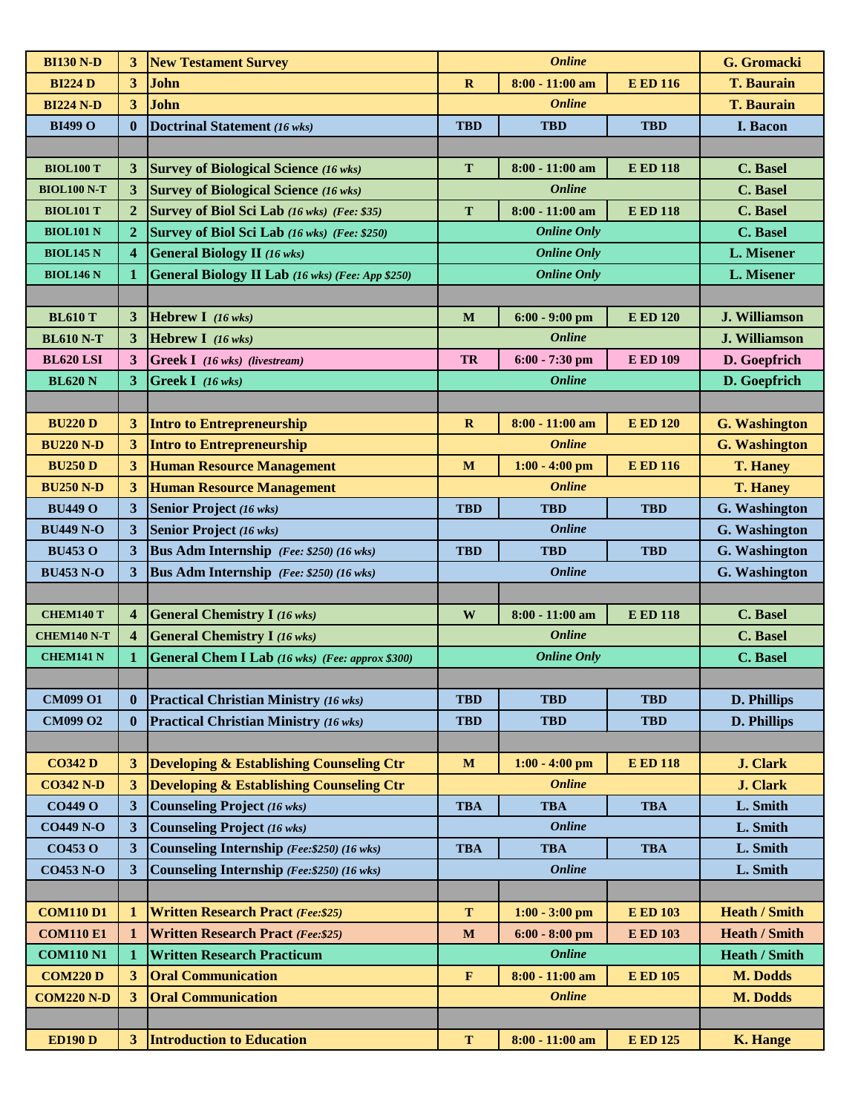| <b>BI130 N-D</b>   | 3                       | <b>New Testament Survey</b>                            |              | <b>Online</b>                     |                 | G. Gromacki          |
|--------------------|-------------------------|--------------------------------------------------------|--------------|-----------------------------------|-----------------|----------------------|
| <b>BI224 D</b>     | 3                       | <b>John</b>                                            | $\mathbf{R}$ | $8:00 - 11:00$ am                 | <b>E ED 116</b> | <b>T. Baurain</b>    |
| <b>BI224 N-D</b>   | 3                       | John                                                   |              | <b>Online</b>                     |                 | <b>T. Baurain</b>    |
| <b>BI499 O</b>     | $\mathbf{0}$            | Doctrinal Statement (16 wks)                           | <b>TBD</b>   | <b>TBD</b>                        | <b>TBD</b>      | <b>I. Bacon</b>      |
|                    |                         |                                                        |              |                                   |                 |                      |
| <b>BIOL100 T</b>   | 3                       | <b>Survey of Biological Science (16 wks)</b>           | T            | 8:00 - 11:00 am                   | <b>E ED 118</b> | C. Basel             |
| <b>BIOL100 N-T</b> | 3                       | <b>Survey of Biological Science (16 wks)</b>           |              | <b>Online</b>                     |                 | C. Basel             |
| <b>BIOL101 T</b>   | $\overline{2}$          | Survey of Biol Sci Lab (16 wks) (Fee: \$35)            | T            | 8:00 - 11:00 am                   | <b>E ED 118</b> | C. Basel             |
| <b>BIOL101 N</b>   | $\overline{2}$          | Survey of Biol Sci Lab (16 wks) (Fee: \$250)           |              | <b>Online Only</b>                |                 | C. Basel             |
| <b>BIOL145 N</b>   | 4                       | <b>General Biology II</b> (16 wks)                     |              | <b>Online Only</b>                |                 | L. Misener           |
| <b>BIOL146 N</b>   | $\mathbf 1$             | General Biology II Lab (16 wks) (Fee: App \$250)       |              | <b>Online Only</b>                |                 | <b>L. Misener</b>    |
|                    |                         |                                                        |              |                                   |                 |                      |
| <b>BL610 T</b>     | 3                       | <b>Hebrew I</b> $(16 \text{ wks})$                     | M            | $6:00 - 9:00$ pm                  | <b>E ED 120</b> | <b>J. Williamson</b> |
| <b>BL610 N-T</b>   | 3                       | Hebrew I (16 wks)                                      |              | <b>Online</b>                     |                 | J. Williamson        |
| <b>BL620 LSI</b>   | 3                       | $Greek I$ (16 wks) (livestream)                        | <b>TR</b>    | 6:00 - 7:30 pm                    | <b>E ED 109</b> | D. Goepfrich         |
| <b>BL620 N</b>     | 3                       | Greek I $(16 \text{ wks})$                             |              | <b>Online</b>                     |                 | D. Goepfrich         |
|                    |                         |                                                        |              |                                   |                 |                      |
| <b>BU220 D</b>     | 3                       | <b>Intro to Entrepreneurship</b>                       | $\bf{R}$     | $8:00 - 11:00$ am                 | <b>E ED 120</b> | <b>G. Washington</b> |
| <b>BU220 N-D</b>   | 3                       | <b>Intro to Entrepreneurship</b>                       |              | <b>Online</b>                     |                 | <b>G. Washington</b> |
|                    | 3                       | <b>Human Resource Management</b>                       |              |                                   |                 |                      |
| <b>BU250 D</b>     |                         |                                                        | M            | $1:00 - 4:00$ pm<br><b>Online</b> | <b>E ED 116</b> | <b>T. Haney</b>      |
| <b>BU250 N-D</b>   | 3                       | <b>Human Resource Management</b>                       |              |                                   |                 | <b>T. Haney</b>      |
| <b>BU449 O</b>     | 3                       | Senior Project (16 wks)                                | <b>TBD</b>   | <b>TBD</b>                        | <b>TBD</b>      | <b>G.</b> Washington |
| <b>BU449 N-O</b>   | 3                       | <b>Senior Project</b> (16 wks)                         |              | <b>Online</b>                     |                 | G. Washington        |
| <b>BU453 O</b>     | 3                       | <b>Bus Adm Internship</b> (Fee: \$250) (16 wks)        | <b>TBD</b>   | <b>TBD</b>                        | <b>TBD</b>      | <b>G. Washington</b> |
| <b>BU453 N-O</b>   | 3                       | <b>Bus Adm Internship</b> (Fee: \$250) (16 wks)        |              | <b>Online</b>                     |                 | G. Washington        |
|                    |                         |                                                        |              |                                   |                 |                      |
| <b>CHEM140 T</b>   | $\overline{\mathbf{4}}$ | <b>General Chemistry I (16 wks)</b>                    | W            | 8:00 - 11:00 am                   | <b>E ED 118</b> | <b>C.</b> Basel      |
| <b>CHEM140 N-T</b> | $\overline{\mathbf{4}}$ | <b>General Chemistry I (16 wks)</b>                    |              | <b>Online</b>                     |                 | <b>C.</b> Basel      |
| <b>CHEM141 N</b>   | 1                       | <b>General Chem I Lab</b> (16 wks) (Fee: approx \$300) |              | <b>Online Only</b>                |                 | C. Basel             |
|                    |                         |                                                        |              |                                   |                 |                      |
| <b>CM099 O1</b>    | $\bf{0}$                | <b>Practical Christian Ministry (16 wks)</b>           | <b>TBD</b>   | <b>TBD</b>                        | <b>TBD</b>      | D. Phillips          |
| <b>CM099 O2</b>    | $\bf{0}$                | <b>Practical Christian Ministry (16 wks)</b>           | <b>TBD</b>   | <b>TBD</b>                        | <b>TBD</b>      | D. Phillips          |
|                    |                         |                                                        |              |                                   |                 |                      |
| <b>CO342 D</b>     |                         | 3 Developing & Establishing Counseling Ctr             | $\mathbf M$  | $1:00 - 4:00$ pm                  | <b>E ED 118</b> | <b>J. Clark</b>      |
| <b>CO342 N-D</b>   | 3                       | <b>Developing &amp; Establishing Counseling Ctr</b>    |              | <b>Online</b>                     |                 | <b>J. Clark</b>      |
| <b>CO449 O</b>     | $\mathbf{3}$            | Counseling Project (16 wks)                            | <b>TBA</b>   | <b>TBA</b>                        | <b>TBA</b>      | L. Smith             |
| <b>CO449 N-O</b>   | 3                       | <b>Counseling Project (16 wks)</b>                     |              | <b>Online</b>                     |                 | L. Smith             |
| <b>CO453 O</b>     | 3                       | Counseling Internship (Fee: \$250) (16 wks)            | <b>TBA</b>   | <b>TBA</b>                        | <b>TBA</b>      | L. Smith             |
| <b>CO453 N-O</b>   | 3                       | Counseling Internship (Fee: \$250) (16 wks)            |              | <b>Online</b>                     |                 | L. Smith             |
|                    |                         |                                                        |              |                                   |                 |                      |
| <b>COM110 D1</b>   | 1                       | <b>Written Research Pract (Fee:\$25)</b>               | T            | $1:00 - 3:00$ pm                  | <b>E ED 103</b> | <b>Heath / Smith</b> |
| <b>COM110 E1</b>   | 1                       | <b>Written Research Pract (Fee:\$25)</b>               | M            | $6:00 - 8:00$ pm                  | <b>E ED 103</b> | <b>Heath / Smith</b> |
| <b>COM110 N1</b>   | 1                       | <b>Written Research Practicum</b>                      |              | <b>Online</b>                     |                 | <b>Heath / Smith</b> |
| <b>COM220 D</b>    | 3                       | <b>Oral Communication</b>                              | $\mathbf F$  | $8:00 - 11:00$ am                 | <b>E ED 105</b> | <b>M. Dodds</b>      |
| <b>COM220 N-D</b>  | 3                       | <b>Oral Communication</b>                              |              | <b>Online</b>                     |                 | M. Dodds             |
|                    |                         |                                                        |              |                                   |                 |                      |
| <b>ED190 D</b>     | 3                       | <b>Introduction to Education</b>                       | T            | $8:00 - 11:00$ am                 | <b>E ED 125</b> |                      |
|                    |                         |                                                        |              |                                   |                 | <b>K. Hange</b>      |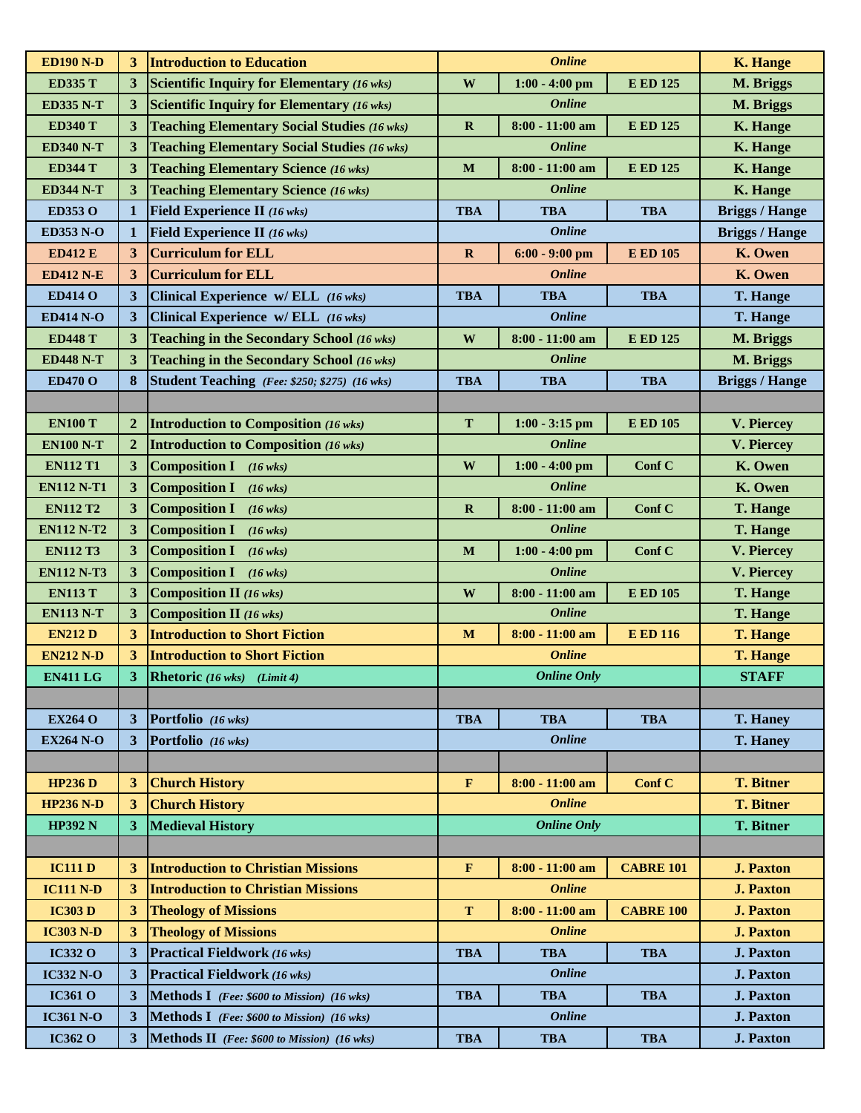| <b>ED190 N-D</b>  | 3                       | <b>Introduction to Education</b>                   |              | <b>Online</b>      |                  | <b>K. Hange</b>       |
|-------------------|-------------------------|----------------------------------------------------|--------------|--------------------|------------------|-----------------------|
| <b>ED335 T</b>    | 3 <sup>1</sup>          | Scientific Inquiry for Elementary (16 wks)         | W            | $1:00 - 4:00$ pm   | <b>E ED 125</b>  | M. Briggs             |
| <b>ED335 N-T</b>  | 3                       | <b>Scientific Inquiry for Elementary (16 wks)</b>  |              | <b>Online</b>      |                  | M. Briggs             |
| <b>ED340 T</b>    | 3 <sup>1</sup>          | <b>Teaching Elementary Social Studies (16 wks)</b> | $\mathbf R$  | 8:00 - 11:00 am    | <b>E ED 125</b>  | <b>K.</b> Hange       |
| <b>ED340 N-T</b>  | 3                       | <b>Teaching Elementary Social Studies (16 wks)</b> |              | <b>Online</b>      |                  | <b>K.</b> Hange       |
| <b>ED344 T</b>    | $\mathbf{3}$            | <b>Teaching Elementary Science (16 wks)</b>        | M            | 8:00 - 11:00 am    | <b>E ED 125</b>  | <b>K.</b> Hange       |
| <b>ED344 N-T</b>  | $\mathbf{3}$            | <b>Teaching Elementary Science (16 wks)</b>        |              | <b>Online</b>      |                  | <b>K.</b> Hange       |
| ED353 O           | 1                       | <b>Field Experience II</b> (16 wks)                | <b>TBA</b>   | <b>TBA</b>         | <b>TBA</b>       | <b>Briggs / Hange</b> |
| <b>ED353 N-O</b>  | $\mathbf{1}$            | <b>Field Experience II</b> (16 wks)                |              | <b>Online</b>      |                  | <b>Briggs / Hange</b> |
| <b>ED412 E</b>    | 3 <sup>1</sup>          | <b>Curriculum for ELL</b>                          | $\mathbf R$  | $6:00 - 9:00$ pm   | <b>E ED 105</b>  | K. Owen               |
| <b>ED412 N-E</b>  | 3 <sup>1</sup>          | <b>Curriculum for ELL</b>                          |              | <b>Online</b>      |                  | K. Owen               |
| <b>ED414 O</b>    | 3 <sup>2</sup>          | Clinical Experience w/ ELL (16 wks)                | <b>TBA</b>   | <b>TBA</b>         | <b>TBA</b>       | <b>T. Hange</b>       |
| <b>ED414 N-O</b>  | 3 <sup>2</sup>          | Clinical Experience w/ ELL (16 wks)                |              | <b>Online</b>      |                  | <b>T. Hange</b>       |
| <b>ED448 T</b>    | 3                       | Teaching in the Secondary School (16 wks)          | W            | $8:00 - 11:00$ am  | <b>E ED 125</b>  | M. Briggs             |
| <b>ED448 N-T</b>  | $\overline{\mathbf{3}}$ | Teaching in the Secondary School (16 wks)          |              | <b>Online</b>      |                  | M. Briggs             |
| <b>ED470 O</b>    | 8                       | Student Teaching (Fee: \$250; \$275) (16 wks)      | <b>TBA</b>   | <b>TBA</b>         | <b>TBA</b>       | <b>Briggs / Hange</b> |
|                   |                         |                                                    |              |                    |                  |                       |
| <b>EN100 T</b>    | $\boldsymbol{2}$        | <b>Introduction to Composition (16 wks)</b>        | T            | $1:00 - 3:15$ pm   | <b>E ED 105</b>  | V. Piercey            |
| <b>EN100 N-T</b>  | $\overline{2}$          | <b>Introduction to Composition (16 wks)</b>        |              | <b>Online</b>      |                  | V. Piercey            |
| <b>EN112 T1</b>   | 3                       | <b>Composition I</b><br>$(16 \text{ wks})$         | $\mathbf W$  | $1:00 - 4:00$ pm   | Conf C           | K. Owen               |
| <b>EN112 N-T1</b> | 3                       | <b>Composition I</b><br>$(16 \text{ wks})$         |              | <b>Online</b>      |                  | K. Owen               |
| <b>EN112 T2</b>   | 3 <sup>1</sup>          | <b>Composition I</b><br>$(16 \text{ wks})$         | $\mathbf R$  | $8:00 - 11:00$ am  | Conf C           | <b>T. Hange</b>       |
| <b>EN112 N-T2</b> | $\mathbf{3}$            | <b>Composition I</b><br>$(16 \text{ wks})$         |              | <b>Online</b>      |                  | <b>T. Hange</b>       |
| <b>EN112 T3</b>   | 3                       | <b>Composition I</b><br>$(16 \text{ wks})$         | M            | $1:00 - 4:00$ pm   | Conf C           | V. Piercey            |
| <b>EN112 N-T3</b> | 3                       | <b>Composition I</b><br>$(16 \text{ wks})$         |              | <b>Online</b>      |                  | V. Piercey            |
| <b>EN113 T</b>    | 3                       | <b>Composition II</b> (16 wks)                     | W            | $8:00 - 11:00$ am  | <b>E ED 105</b>  | <b>T. Hange</b>       |
| <b>EN113 N-T</b>  | $\mathbf{3}$            | <b>Composition II</b> (16 wks)                     |              | <b>Online</b>      |                  | T. Hange              |
| <b>EN212 D</b>    | 3                       | <b>Introduction to Short Fiction</b>               | M            | $8:00 - 11:00$ am  | <b>E ED 116</b>  | <b>T. Hange</b>       |
| <b>EN212 N-D</b>  | 3 <sup>1</sup>          | <b>Introduction to Short Fiction</b>               |              | <b>Online</b>      |                  | <b>T. Hange</b>       |
| <b>EN411 LG</b>   | 3 <sup>1</sup>          | <b>Rhetoric</b> (16 wks) (Limit 4)                 |              | <b>Online Only</b> |                  | <b>STAFF</b>          |
|                   |                         |                                                    |              |                    |                  |                       |
| <b>EX264 O</b>    | 3 <sup>2</sup>          | Portfolio (16 wks)                                 | <b>TBA</b>   | <b>TBA</b>         | <b>TBA</b>       | <b>T. Haney</b>       |
| <b>EX264 N-O</b>  | 3 <sup>1</sup>          | <b>Portfolio</b> $(16 \text{ wks})$                |              | <b>Online</b>      |                  | <b>T. Haney</b>       |
|                   |                         |                                                    |              |                    |                  |                       |
| <b>HP236D</b>     | 3 <sup>1</sup>          | <b>Church History</b>                              | $\mathbf{F}$ | $8:00 - 11:00$ am  | Conf C           | <b>T. Bitner</b>      |
| <b>HP236 N-D</b>  | 3                       | <b>Church History</b>                              |              | <b>Online</b>      |                  | <b>T. Bitner</b>      |
| <b>HP392 N</b>    | 3 <sup>1</sup>          | <b>Medieval History</b>                            |              | <b>Online Only</b> |                  | <b>T. Bitner</b>      |
|                   |                         |                                                    |              |                    |                  |                       |
| <b>IC111 D</b>    | 3                       | <b>Introduction to Christian Missions</b>          | $\mathbf{F}$ | $8:00 - 11:00$ am  | <b>CABRE 101</b> | <b>J. Paxton</b>      |
| <b>IC111 N-D</b>  | 3                       | <b>Introduction to Christian Missions</b>          |              | <b>Online</b>      |                  | <b>J. Paxton</b>      |
| <b>IC303 D</b>    | 3 <sup>1</sup>          | <b>Theology of Missions</b>                        | T            | $8:00 - 11:00$ am  | <b>CABRE 100</b> | <b>J. Paxton</b>      |
| <b>IC303 N-D</b>  | 3                       | <b>Theology of Missions</b>                        |              | <b>Online</b>      |                  | <b>J. Paxton</b>      |
| <b>IC332 O</b>    | 3                       | <b>Practical Fieldwork</b> (16 wks)                | <b>TBA</b>   | <b>TBA</b>         | <b>TBA</b>       | <b>J. Paxton</b>      |
| <b>IC332 N-O</b>  | 3 <sup>1</sup>          | <b>Practical Fieldwork</b> (16 wks)                |              | <b>Online</b>      |                  | <b>J. Paxton</b>      |
| <b>IC361 O</b>    | 3 <sup>1</sup>          | Methods I (Fee: \$600 to Mission) (16 wks)         | <b>TBA</b>   | <b>TBA</b>         | <b>TBA</b>       | <b>J. Paxton</b>      |
| <b>IC361 N-O</b>  | 3 <sup>1</sup>          | Methods I (Fee: \$600 to Mission) (16 wks)         |              | <b>Online</b>      |                  | <b>J. Paxton</b>      |
| <b>IC362 O</b>    | $\overline{3}$          | Methods II (Fee: \$600 to Mission) (16 wks)        | <b>TBA</b>   | <b>TBA</b>         | <b>TBA</b>       | <b>J. Paxton</b>      |
|                   |                         |                                                    |              |                    |                  |                       |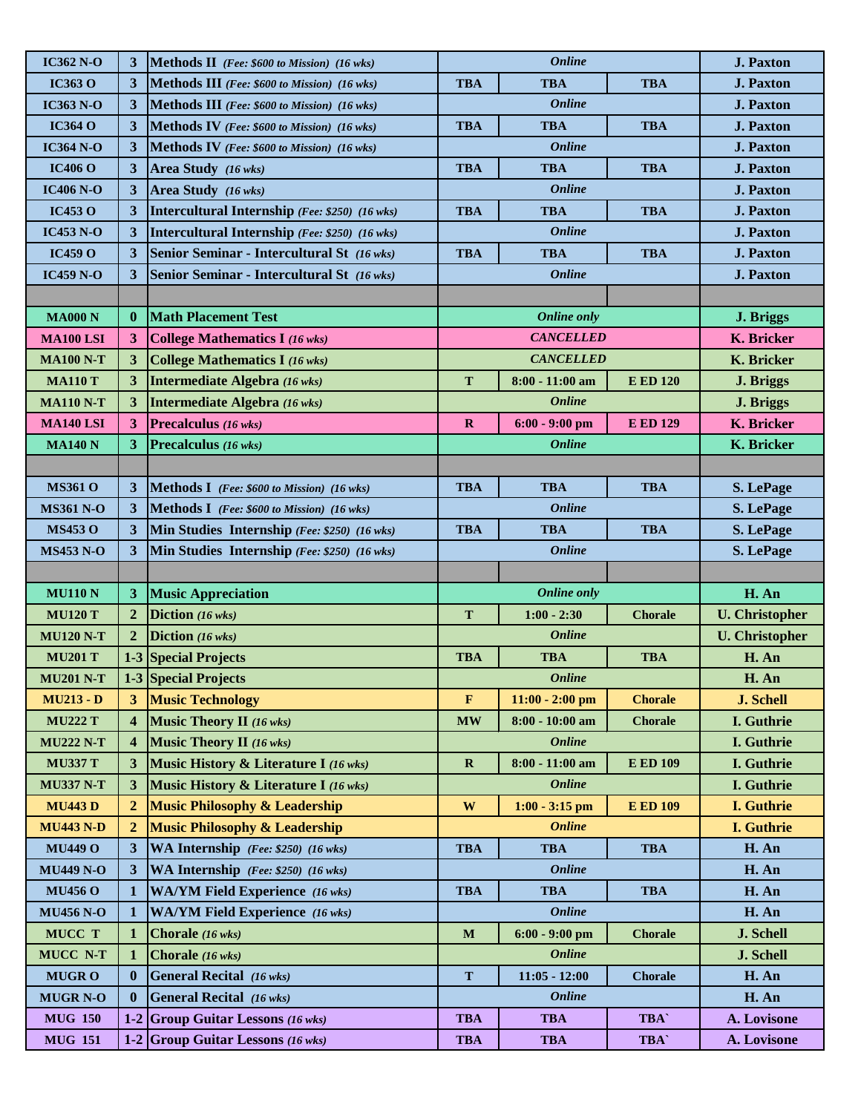| <b>IC362 N-O</b> | 3                       | <b>Methods II</b> (Fee: \$600 to Mission) (16 wks)  |               | <b>Online</b>        | <b>J. Paxton</b> |                       |
|------------------|-------------------------|-----------------------------------------------------|---------------|----------------------|------------------|-----------------------|
| <b>IC363 O</b>   | 3                       | <b>Methods III</b> (Fee: \$600 to Mission) (16 wks) | <b>TBA</b>    | <b>TBA</b>           | <b>TBA</b>       | <b>J. Paxton</b>      |
| <b>IC363 N-O</b> | 3                       | Methods III (Fee: \$600 to Mission) (16 wks)        |               | <b>Online</b>        |                  | <b>J. Paxton</b>      |
| <b>IC364 O</b>   | 3                       | <b>Methods IV</b> (Fee: \$600 to Mission) (16 wks)  | <b>TBA</b>    | <b>TBA</b>           | <b>TBA</b>       | <b>J. Paxton</b>      |
| <b>IC364 N-O</b> | 3                       | <b>Methods IV</b> (Fee: \$600 to Mission) (16 wks)  |               | <b>Online</b>        |                  | <b>J. Paxton</b>      |
| <b>IC406 O</b>   | 3                       | Area Study (16 wks)                                 | <b>TBA</b>    | <b>TBA</b>           | <b>TBA</b>       | <b>J. Paxton</b>      |
| <b>IC406 N-O</b> | 3                       | Area Study (16 wks)                                 |               | <b>Online</b>        |                  | <b>J. Paxton</b>      |
| <b>IC453 O</b>   | $\mathbf{3}$            | Intercultural Internship (Fee: \$250) (16 wks)      | <b>TBA</b>    | <b>TBA</b>           | <b>TBA</b>       | <b>J. Paxton</b>      |
| <b>IC453 N-O</b> | $\mathbf{3}$            | Intercultural Internship (Fee: \$250) (16 wks)      |               | <b>Online</b>        |                  | <b>J. Paxton</b>      |
| IC459O           | 3                       | Senior Seminar - Intercultural St (16 wks)          | <b>TBA</b>    | <b>TBA</b>           | <b>TBA</b>       | <b>J. Paxton</b>      |
| <b>IC459 N-O</b> | $\mathbf{3}$            | Senior Seminar - Intercultural St (16 wks)          |               | <b>Online</b>        |                  | <b>J. Paxton</b>      |
|                  |                         |                                                     |               |                      |                  |                       |
| <b>MA000 N</b>   | $\bf{0}$                | <b>Math Placement Test</b>                          |               | <b>Online only</b>   |                  | J. Briggs             |
| <b>MA100 LSI</b> | $\mathbf{3}$            | <b>College Mathematics I (16 wks)</b>               |               | <b>CANCELLED</b>     |                  | K. Bricker            |
| <b>MA100 N-T</b> | 3                       | <b>College Mathematics I (16 wks)</b>               |               | <b>CANCELLED</b>     |                  | <b>K.</b> Bricker     |
| <b>MA110 T</b>   | 3                       | <b>Intermediate Algebra</b> (16 wks)                | T             | 8:00 - 11:00 am      | <b>E ED 120</b>  | J. Briggs             |
| <b>MA110 N-T</b> | $\mathbf{3}$            | Intermediate Algebra (16 wks)                       |               | <b>Online</b>        |                  | J. Briggs             |
| <b>MA140 LSI</b> | 3                       | Precalculus (16 wks)                                | $\mathbf R$   | $6:00 - 9:00$ pm     | <b>E ED 129</b>  | <b>K.</b> Bricker     |
| <b>MA140 N</b>   | 3 <sup>1</sup>          | Precalculus (16 wks)                                |               | <b>Online</b>        |                  | K. Bricker            |
|                  |                         |                                                     |               |                      |                  |                       |
| <b>MS361 O</b>   | $\mathbf{3}$            | <b>Methods I</b> (Fee: $$600$ to Mission) (16 wks)  | <b>TBA</b>    | <b>TBA</b>           | <b>TBA</b>       | S. LePage             |
| <b>MS361 N-O</b> | 3                       | <b>Methods I</b> (Fee: \$600 to Mission) (16 wks)   |               | <b>Online</b>        |                  | S. LePage             |
| <b>MS453 O</b>   | 3                       | Min Studies Internship (Fee: \$250) (16 wks)        | <b>TBA</b>    | <b>TBA</b>           | <b>TBA</b>       | S. LePage             |
| <b>MS453 N-O</b> | 3                       | Min Studies Internship (Fee: \$250) (16 wks)        |               | <b>Online</b>        |                  | S. LePage             |
|                  |                         |                                                     |               |                      |                  |                       |
| <b>MU110 N</b>   | 3                       | <b>Music Appreciation</b>                           |               | <b>Online only</b>   |                  | H. An                 |
| <b>MU120 T</b>   | $\overline{2}$          | Diction (16 wks)                                    | T             | $1:00 - 2:30$        | <b>Chorale</b>   | <b>U.</b> Christopher |
| <b>MU120 N-T</b> | $\overline{2}$          | Diction (16 wks)                                    |               | <i><b>Online</b></i> |                  | <b>U.</b> Christopher |
| <b>MU201 T</b>   |                         | <b>1-3 Special Projects</b>                         | <b>TBA</b>    | <b>TBA</b>           | <b>TBA</b>       | H. An                 |
| <b>MU201 N-T</b> |                         | 1-3 Special Projects                                |               | <b>Online</b>        |                  | H. An                 |
| <b>MU213 - D</b> | 3                       | <b>Music Technology</b>                             | $\mathbf{F}$  | $11:00 - 2:00$ pm    | <b>Chorale</b>   | J. Schell             |
| <b>MU222 T</b>   | $\overline{\mathbf{4}}$ | <b>Music Theory II</b> (16 wks)                     | $\mathbf{MW}$ | 8:00 - 10:00 am      | <b>Chorale</b>   | I. Guthrie            |
| <b>MU222 N-T</b> | $\overline{\mathbf{4}}$ | <b>Music Theory II</b> (16 wks)                     |               | <b>Online</b>        |                  | I. Guthrie            |
| <b>MU337 T</b>   | $\mathbf{3}$            | Music History & Literature I (16 wks)               | $\mathbf R$   | 8:00 - 11:00 am      | <b>E ED 109</b>  | I. Guthrie            |
| <b>MU337 N-T</b> | 3                       | <b>Music History &amp; Literature I (16 wks)</b>    |               | <b>Online</b>        |                  | I. Guthrie            |
| <b>MU443D</b>    | $\overline{2}$          | <b>Music Philosophy &amp; Leadership</b>            | W             | $1:00 - 3:15$ pm     | <b>E ED 109</b>  | <b>I.</b> Guthrie     |
| <b>MU443 N-D</b> | $\overline{2}$          | <b>Music Philosophy &amp; Leadership</b>            |               | <b>Online</b>        |                  | I. Guthrie            |
| <b>MU449 O</b>   | 3                       | WA Internship (Fee: \$250) (16 wks)                 | <b>TBA</b>    | <b>TBA</b>           | <b>TBA</b>       | H. An                 |
| <b>MU449 N-O</b> | $\mathbf{3}$            | WA Internship (Fee: \$250) (16 wks)                 |               | <b>Online</b>        |                  | H. An                 |
| <b>MU456 O</b>   | $\mathbf 1$             | <b>WA/YM Field Experience</b> (16 wks)              | <b>TBA</b>    | <b>TBA</b>           | <b>TBA</b>       | H. An                 |
| <b>MU456 N-O</b> | 1                       | <b>WA/YM Field Experience</b> (16 wks)              |               | <b>Online</b>        |                  | H. An                 |
| MUCC T           | $\mathbf 1$             | Chorale (16 wks)                                    | $\mathbf M$   | $6:00 - 9:00$ pm     | <b>Chorale</b>   | J. Schell             |
| <b>MUCC N-T</b>  | $\bf{1}$                | Chorale (16 wks)                                    |               | <b>Online</b>        |                  | J. Schell             |
|                  |                         |                                                     |               |                      |                  |                       |
| <b>MUGRO</b>     | $\bf{0}$                | <b>General Recital</b> (16 wks)                     | T             | $11:05 - 12:00$      | <b>Chorale</b>   | H. An                 |
| <b>MUGR N-O</b>  | $\bf{0}$                | <b>General Recital</b> (16 wks)                     |               | <b>Online</b>        |                  | H. An                 |
| <b>MUG 150</b>   |                         | 1-2 Group Guitar Lessons $(16 \text{ wks})$         | <b>TBA</b>    | <b>TBA</b>           | <b>TBA</b>       | A. Lovisone           |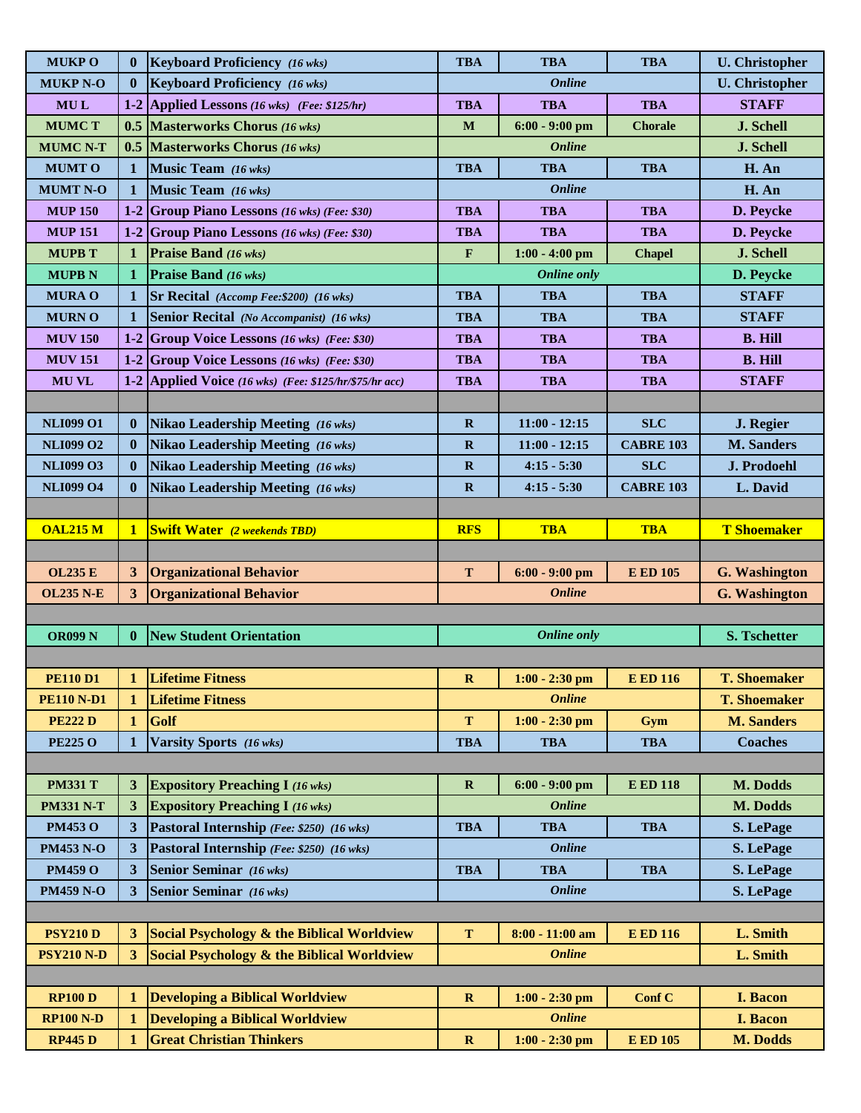| <b>MUKPO</b>      | $\bf{0}$                | <b>Keyboard Proficiency</b> (16 wks)                   | <b>TBA</b>   | <b>TBA</b>           | <b>TBA</b>       | <b>U.</b> Christopher |
|-------------------|-------------------------|--------------------------------------------------------|--------------|----------------------|------------------|-----------------------|
| <b>MUKP N-O</b>   | $\bf{0}$                | <b>Keyboard Proficiency</b> (16 wks)                   |              | <b>Online</b>        |                  | <b>U.</b> Christopher |
| <b>MUL</b>        |                         | 1-2 Applied Lessons (16 wks) (Fee: $$125/hr$ )         | <b>TBA</b>   | <b>TBA</b>           | <b>TBA</b>       | <b>STAFF</b>          |
| <b>MUMCT</b>      |                         | 0.5 Masterworks Chorus $(16 \text{ wks})$              | M            | $6:00 - 9:00$ pm     | <b>Chorale</b>   | J. Schell             |
| <b>MUMC N-T</b>   |                         | <b>0.5 Masterworks Chorus</b> (16 wks)                 |              | <i><b>Online</b></i> |                  | J. Schell             |
| <b>MUMTO</b>      | $\mathbf{1}$            | Music Team (16 wks)                                    | <b>TBA</b>   | <b>TBA</b>           | <b>TBA</b>       | H. An                 |
| <b>MUMT N-O</b>   | 1                       | Music Team (16 wks)                                    |              | <b>Online</b>        |                  | H. An                 |
| <b>MUP 150</b>    |                         | 1-2 Group Piano Lessons $(16 \text{ wks})$ (Fee: \$30) | <b>TBA</b>   | <b>TBA</b>           | <b>TBA</b>       | D. Peycke             |
| <b>MUP 151</b>    |                         | 1-2 Group Piano Lessons (16 wks) (Fee: \$30)           | <b>TBA</b>   | <b>TBA</b>           | <b>TBA</b>       | D. Peycke             |
| <b>MUPB T</b>     | $\mathbf 1$             | <b>Praise Band</b> (16 wks)                            | ${\bf F}$    | $1:00 - 4:00$ pm     | <b>Chapel</b>    | J. Schell             |
| <b>MUPB N</b>     | $\mathbf 1$             | <b>Praise Band</b> (16 wks)                            |              | <b>Online only</b>   |                  | D. Peycke             |
| <b>MURA O</b>     | $\mathbf 1$             | <b>Sr Recital</b> (Accomp Fee: \$200) (16 wks)         | <b>TBA</b>   | <b>TBA</b>           | <b>TBA</b>       | <b>STAFF</b>          |
| <b>MURNO</b>      | $\mathbf 1$             | Senior Recital (No Accompanist) (16 wks)               | <b>TBA</b>   | <b>TBA</b>           | <b>TBA</b>       | <b>STAFF</b>          |
| <b>MUV 150</b>    |                         | 1-2 Group Voice Lessons (16 wks) (Fee: \$30)           | <b>TBA</b>   | <b>TBA</b>           | <b>TBA</b>       | <b>B. Hill</b>        |
| <b>MUV 151</b>    |                         | 1-2 Group Voice Lessons (16 wks) (Fee: \$30)           | <b>TBA</b>   | <b>TBA</b>           | <b>TBA</b>       | <b>B. Hill</b>        |
| <b>MUVL</b>       |                         | 1-2 Applied Voice (16 wks) (Fee: \$125/hr/\$75/hr acc) | <b>TBA</b>   | <b>TBA</b>           | <b>TBA</b>       | <b>STAFF</b>          |
|                   |                         |                                                        |              |                      |                  |                       |
| <b>NLI099 O1</b>  | $\bf{0}$                | <b>Nikao Leadership Meeting (16 wks)</b>               | $\mathbf R$  | $11:00 - 12:15$      | <b>SLC</b>       | J. Regier             |
| <b>NLI099 O2</b>  | $\bf{0}$                | Nikao Leadership Meeting (16 wks)                      | $\mathbf R$  | $11:00 - 12:15$      | <b>CABRE 103</b> | <b>M. Sanders</b>     |
| <b>NLI099 O3</b>  | $\bf{0}$                | <b>Nikao Leadership Meeting (16 wks)</b>               | $\mathbf R$  | $4:15 - 5:30$        | <b>SLC</b>       | J. Prodoehl           |
| <b>NLI099 O4</b>  | $\bf{0}$                | <b>Nikao Leadership Meeting (16 wks)</b>               | $\mathbf R$  | $4:15 - 5:30$        | <b>CABRE 103</b> | L. David              |
|                   |                         |                                                        |              |                      |                  |                       |
| <b>OAL215 M</b>   | $\mathbf{1}$            | <b>Swift Water</b> (2 weekends TBD)                    | <b>RFS</b>   | <b>TBA</b>           | <b>TBA</b>       | <b>T</b> Shoemaker    |
|                   |                         |                                                        |              |                      |                  |                       |
| <b>OL235 E</b>    | $\overline{\mathbf{3}}$ | <b>Organizational Behavior</b>                         | T            | $6:00 - 9:00$ pm     | <b>E ED 105</b>  | <b>G.</b> Washington  |
| <b>OL235 N-E</b>  | 3                       | <b>Organizational Behavior</b>                         |              | <b>Online</b>        |                  | <b>G.</b> Washington  |
|                   |                         |                                                        |              |                      |                  |                       |
| <b>OR099 N</b>    | $\bf{0}$                | <b>New Student Orientation</b>                         |              | <b>Online only</b>   |                  | <b>S. Tschetter</b>   |
|                   |                         |                                                        |              |                      |                  |                       |
| <b>PE110 D1</b>   | $\mathbf{1}$            | <b>Lifetime Fitness</b>                                | $\mathbf{R}$ | $1:00 - 2:30$ pm     | <b>E ED 116</b>  | <b>T. Shoemaker</b>   |
| <b>PE110 N-D1</b> | 1                       | <b>Lifetime Fitness</b>                                |              | <b>Online</b>        |                  | <b>T. Shoemaker</b>   |
| <b>PE222D</b>     | $\mathbf{1}$            | Golf                                                   | T            | $1:00 - 2:30$ pm     | Gym              | <b>M. Sanders</b>     |
| <b>PE225 O</b>    | $\mathbf{1}$            | Varsity Sports (16 wks)                                | <b>TBA</b>   | <b>TBA</b>           | <b>TBA</b>       | <b>Coaches</b>        |
|                   |                         |                                                        |              |                      |                  |                       |
| <b>PM331 T</b>    | 3                       | <b>Expository Preaching I (16 wks)</b>                 | $\mathbf R$  | $6:00 - 9:00$ pm     | <b>E ED 118</b>  | M. Dodds              |
| <b>PM331 N-T</b>  | 3 <sup>1</sup>          | <b>Expository Preaching I (16 wks)</b>                 |              | <b>Online</b>        |                  | M. Dodds              |
| <b>PM453 O</b>    | 3 <sup>1</sup>          | Pastoral Internship (Fee: \$250) (16 wks)              | <b>TBA</b>   | <b>TBA</b>           | <b>TBA</b>       | S. LePage             |
| <b>PM453 N-O</b>  | 3                       | Pastoral Internship (Fee: \$250) (16 wks)              |              | <b>Online</b>        |                  | S. LePage             |
| <b>PM459 O</b>    | 3                       | <b>Senior Seminar</b> (16 wks)                         | <b>TBA</b>   | <b>TBA</b>           | <b>TBA</b>       | S. LePage             |
| <b>PM459 N-O</b>  | 3 <sup>1</sup>          | <b>Senior Seminar</b> (16 wks)                         |              | <b>Online</b>        |                  | S. LePage             |
|                   |                         |                                                        |              |                      |                  |                       |
| <b>PSY210 D</b>   | 3 <sup>1</sup>          | Social Psychology & the Biblical Worldview             | $\mathbf T$  | 8:00 - 11:00 am      | <b>E ED 116</b>  | L. Smith              |
| <b>PSY210 N-D</b> | 3 <sup>1</sup>          | Social Psychology & the Biblical Worldview             |              | <b>Online</b>        |                  | L. Smith              |
|                   |                         |                                                        |              |                      |                  |                       |
| <b>RP100 D</b>    | 1                       | <b>Developing a Biblical Worldview</b>                 | $\mathbf R$  | $1:00 - 2:30$ pm     | Conf C           | <b>I. Bacon</b>       |
| <b>RP100 N-D</b>  | $\mathbf 1$             | <b>Developing a Biblical Worldview</b>                 |              | <b>Online</b>        |                  | <b>I. Bacon</b>       |
| <b>RP445D</b>     | $\mathbf 1$             | <b>Great Christian Thinkers</b>                        | $\mathbf R$  | $1:00 - 2:30$ pm     | <b>E ED 105</b>  | M. Dodds              |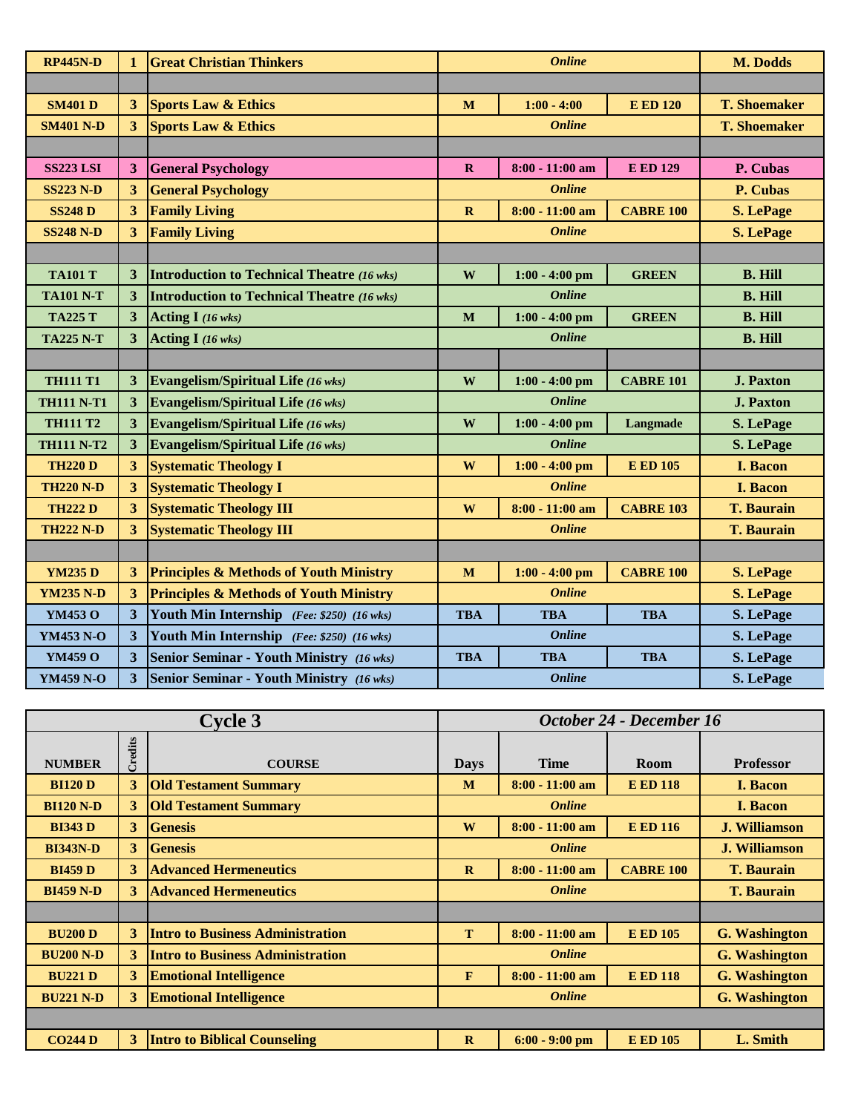| <b>RP445N-D</b>   | $\mathbf{1}$            | <b>Great Christian Thinkers</b>                   | <b>Online</b> |                   |                  | M. Dodds            |
|-------------------|-------------------------|---------------------------------------------------|---------------|-------------------|------------------|---------------------|
|                   |                         |                                                   |               |                   |                  |                     |
| <b>SM401 D</b>    | $\overline{3}$          | <b>Sports Law &amp; Ethics</b>                    | $\mathbf{M}$  | $1:00 - 4:00$     | <b>E ED 120</b>  | <b>T. Shoemaker</b> |
| <b>SM401 N-D</b>  | $\overline{3}$          | <b>Sports Law &amp; Ethics</b>                    |               | <b>Online</b>     |                  | <b>T. Shoemaker</b> |
|                   |                         |                                                   |               |                   |                  |                     |
| <b>SS223 LSI</b>  | $\mathbf{3}$            | <b>General Psychology</b>                         | $\mathbf{R}$  | $8:00 - 11:00$ am | <b>E ED 129</b>  | P. Cubas            |
| <b>SS223 N-D</b>  | 3                       | <b>General Psychology</b>                         |               | <b>Online</b>     |                  | P. Cubas            |
| <b>SS248 D</b>    | $\overline{\mathbf{3}}$ | <b>Family Living</b>                              | $\mathbf R$   | $8:00 - 11:00$ am | <b>CABRE 100</b> | <b>S. LePage</b>    |
| <b>SS248 N-D</b>  | $\overline{\mathbf{3}}$ | <b>Family Living</b>                              |               | <b>Online</b>     |                  | <b>S. LePage</b>    |
|                   |                         |                                                   |               |                   |                  |                     |
| <b>TA101 T</b>    | 3                       | <b>Introduction to Technical Theatre (16 wks)</b> | W             | $1:00 - 4:00$ pm  | <b>GREEN</b>     | <b>B. Hill</b>      |
| <b>TA101 N-T</b>  | 3                       | <b>Introduction to Technical Theatre (16 wks)</b> |               | <b>Online</b>     |                  | <b>B. Hill</b>      |
| <b>TA225 T</b>    | 3                       | Acting $I(16 \text{ wks})$                        | M             | $1:00 - 4:00$ pm  | <b>GREEN</b>     | <b>B. Hill</b>      |
| <b>TA225 N-T</b>  | $\overline{\mathbf{3}}$ | Acting I (16 wks)                                 |               | <b>Online</b>     | <b>B. Hill</b>   |                     |
|                   |                         |                                                   |               |                   |                  |                     |
| <b>TH111 T1</b>   | 3                       | Evangelism/Spiritual Life (16 wks)                | W             | $1:00 - 4:00$ pm  | <b>CABRE 101</b> | <b>J. Paxton</b>    |
| <b>TH111 N-T1</b> | $\overline{\mathbf{3}}$ | <b>Evangelism/Spiritual Life (16 wks)</b>         |               | <b>Online</b>     |                  | <b>J. Paxton</b>    |
| <b>TH111 T2</b>   | $\overline{\mathbf{3}}$ | <b>Evangelism/Spiritual Life (16 wks)</b>         | W             | $1:00 - 4:00$ pm  | Langmade         | S. LePage           |
| <b>TH111 N-T2</b> | 3                       | <b>Evangelism/Spiritual Life (16 wks)</b>         |               | <b>Online</b>     |                  | S. LePage           |
| <b>TH220 D</b>    | $\overline{\mathbf{3}}$ | <b>Systematic Theology I</b>                      | W             | $1:00 - 4:00$ pm  | <b>E ED 105</b>  | <b>I. Bacon</b>     |
| <b>TH220 N-D</b>  | 3                       | <b>Systematic Theology I</b>                      |               | <b>Online</b>     |                  | <b>I. Bacon</b>     |
| <b>TH222 D</b>    | $\overline{\mathbf{3}}$ | <b>Systematic Theology III</b>                    | W             | $8:00 - 11:00$ am | <b>CABRE 103</b> | <b>T. Baurain</b>   |
| <b>TH222 N-D</b>  | $\overline{\mathbf{3}}$ | <b>Systematic Theology III</b>                    |               | <b>Online</b>     |                  | <b>T. Baurain</b>   |
|                   |                         |                                                   |               |                   |                  |                     |
| <b>YM235 D</b>    | 3                       | <b>Principles &amp; Methods of Youth Ministry</b> | M             | $1:00 - 4:00$ pm  | <b>CABRE 100</b> | <b>S. LePage</b>    |
| <b>YM235 N-D</b>  | $\mathbf{3}$            | <b>Principles &amp; Methods of Youth Ministry</b> |               | <b>Online</b>     |                  | <b>S. LePage</b>    |
| YM453 O           | $\overline{\mathbf{3}}$ | Youth Min Internship (Fee: \$250) (16 wks)        | <b>TBA</b>    | <b>TBA</b>        | <b>TBA</b>       | S. LePage           |
| YM453 N-O         | $\overline{\mathbf{3}}$ | Youth Min Internship (Fee: \$250) (16 wks)        |               | <b>Online</b>     |                  | S. LePage           |
| YM459 O           | $\overline{3}$          | <b>Senior Seminar - Youth Ministry</b> (16 wks)   | <b>TBA</b>    | <b>TBA</b>        | <b>TBA</b>       | S. LePage           |
| <b>YM459 N-O</b>  | $\overline{\mathbf{3}}$ | <b>Senior Seminar - Youth Ministry (16 wks)</b>   |               | <b>Online</b>     |                  | S. LePage           |

| <b>Cycle 3</b>   |         |                                         | October 24 - December 16 |                   |                  |                      |
|------------------|---------|-----------------------------------------|--------------------------|-------------------|------------------|----------------------|
| <b>NUMBER</b>    | Credits | <b>COURSE</b>                           | <b>Days</b>              | <b>Time</b>       | <b>Room</b>      | <b>Professor</b>     |
| <b>BI120 D</b>   | 3       | <b>Old Testament Summary</b>            | M                        | $8:00 - 11:00$ am | <b>E ED 118</b>  | <b>I. Bacon</b>      |
| <b>BI120 N-D</b> | 3       | <b>Old Testament Summary</b>            |                          | <b>Online</b>     |                  | <b>I. Bacon</b>      |
| <b>BI343 D</b>   | 3       | <b>Genesis</b>                          | W                        | $8:00 - 11:00$ am | <b>E ED 116</b>  | <b>J. Williamson</b> |
| <b>BI343N-D</b>  | 3       | <b>Genesis</b>                          | <b>Online</b>            |                   |                  | <b>J. Williamson</b> |
| <b>BI459 D</b>   | 3       | <b>Advanced Hermeneutics</b>            | $\mathbf R$              | $8:00 - 11:00$ am | <b>CABRE 100</b> | <b>T. Baurain</b>    |
| <b>BI459 N-D</b> | 3       | <b>Advanced Hermeneutics</b>            |                          | <b>Online</b>     |                  | <b>T. Baurain</b>    |
|                  |         |                                         |                          |                   |                  |                      |
| <b>BU200 D</b>   | 3       | <b>Intro to Business Administration</b> | T                        | $8:00 - 11:00$ am | <b>E ED 105</b>  | <b>G. Washington</b> |
| <b>BU200 N-D</b> | 3       | <b>Intro to Business Administration</b> |                          | <b>Online</b>     |                  | <b>G. Washington</b> |
| <b>BU221 D</b>   | 3       | <b>Emotional Intelligence</b>           | F                        | $8:00 - 11:00$ am | <b>E ED 118</b>  | <b>G.</b> Washington |
| <b>BU221 N-D</b> | 3       | <b>Emotional Intelligence</b>           | <b>Online</b>            |                   |                  | <b>G.</b> Washington |
|                  |         |                                         |                          |                   |                  |                      |
| <b>CO244 D</b>   | 3       | <b>Intro to Biblical Counseling</b>     | $\mathbf{R}$             | $6:00 - 9:00$ pm  | <b>E ED 105</b>  | L. Smith             |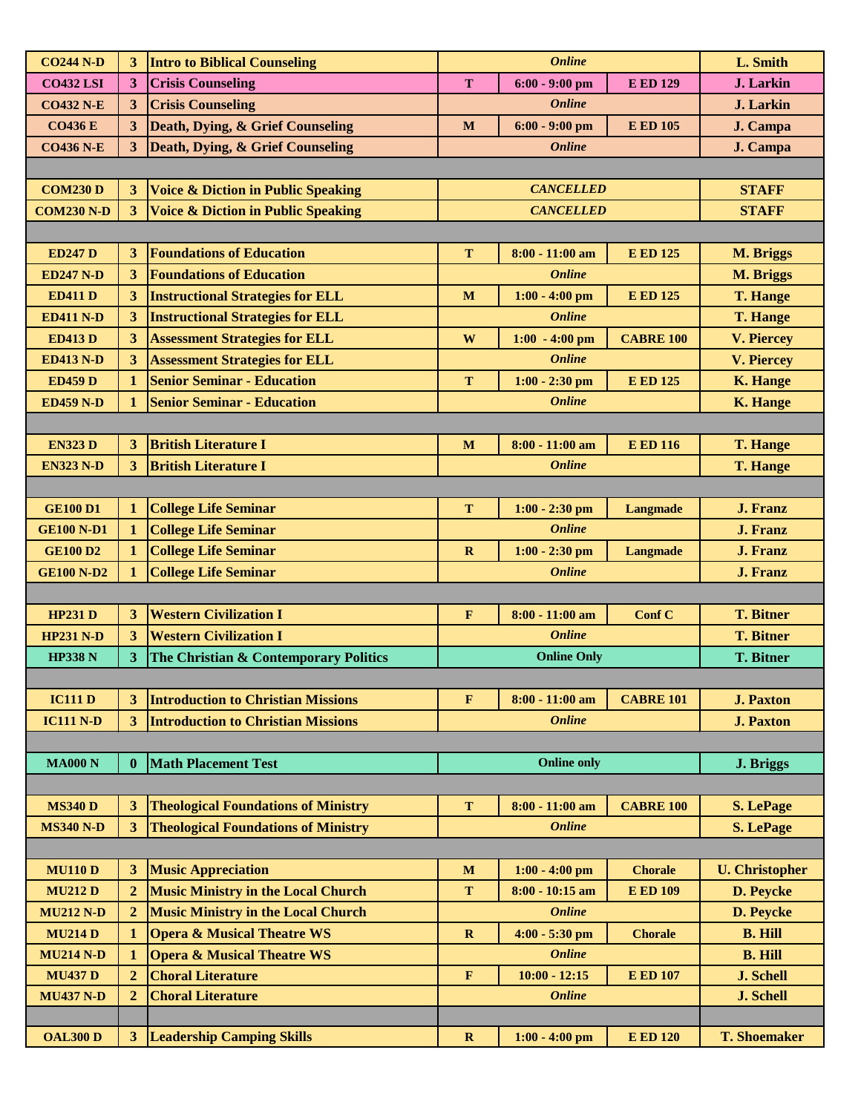| <b>CO244 N-D</b>  | 3              | <b>Intro to Biblical Counseling</b>           |              | <b>Online</b>      |                  | L. Smith              |
|-------------------|----------------|-----------------------------------------------|--------------|--------------------|------------------|-----------------------|
| <b>CO432 LSI</b>  | 3              | <b>Crisis Counseling</b>                      | $\mathbf T$  | $6:00 - 9:00$ pm   | <b>E ED 129</b>  | <b>J.</b> Larkin      |
| <b>CO432 N-E</b>  | 3              | <b>Crisis Counseling</b>                      |              | <b>Online</b>      |                  | <b>J.</b> Larkin      |
| <b>CO436 E</b>    | 3              | Death, Dying, & Grief Counseling              | M            | $6:00 - 9:00$ pm   | <b>E ED 105</b>  | J. Campa              |
| <b>CO436 N-E</b>  | 3              | <b>Death, Dying, &amp; Grief Counseling</b>   |              | <b>Online</b>      |                  | J. Campa              |
|                   |                |                                               |              |                    |                  |                       |
| <b>COM230 D</b>   | 3              | <b>Voice &amp; Diction in Public Speaking</b> |              | <b>CANCELLED</b>   |                  | <b>STAFF</b>          |
| <b>COM230 N-D</b> | 3              | <b>Voice &amp; Diction in Public Speaking</b> |              | <b>CANCELLED</b>   |                  | <b>STAFF</b>          |
|                   |                |                                               |              |                    |                  |                       |
| <b>ED247 D</b>    | 3              | <b>Foundations of Education</b>               | T            | $8:00 - 11:00$ am  | <b>E ED 125</b>  | M. Briggs             |
| <b>ED247 N-D</b>  | 3              | <b>Foundations of Education</b>               |              | <b>Online</b>      |                  | M. Briggs             |
| <b>ED411 D</b>    | 3              | <b>Instructional Strategies for ELL</b>       | M            | $1:00 - 4:00$ pm   | <b>E ED 125</b>  | <b>T. Hange</b>       |
| <b>ED411 N-D</b>  | 3              | <b>Instructional Strategies for ELL</b>       |              | <b>Online</b>      |                  | <b>T. Hange</b>       |
| <b>ED413 D</b>    | 3              | <b>Assessment Strategies for ELL</b>          | W            | $1:00 - 4:00$ pm   | <b>CABRE 100</b> | <b>V. Piercey</b>     |
| <b>ED413 N-D</b>  | 3              | <b>Assessment Strategies for ELL</b>          |              | <b>Online</b>      |                  | <b>V. Piercey</b>     |
| <b>ED459 D</b>    | $\mathbf{1}$   | <b>Senior Seminar - Education</b>             | T            | $1:00 - 2:30$ pm   | <b>E ED 125</b>  | <b>K. Hange</b>       |
| <b>ED459 N-D</b>  | 1              | <b>Senior Seminar - Education</b>             |              | <b>Online</b>      |                  | <b>K. Hange</b>       |
|                   |                |                                               |              |                    |                  |                       |
| <b>EN323 D</b>    | 3              | <b>British Literature I</b>                   | M            | $8:00 - 11:00$ am  | <b>E ED 116</b>  | <b>T. Hange</b>       |
| <b>EN323 N-D</b>  | 3              | <b>British Literature I</b>                   |              | <b>Online</b>      |                  | <b>T. Hange</b>       |
|                   |                |                                               |              |                    |                  |                       |
| <b>GE100 D1</b>   | $\mathbf{1}$   | <b>College Life Seminar</b>                   | T            | $1:00 - 2:30$ pm   | <b>Langmade</b>  | <b>J. Franz</b>       |
| <b>GE100 N-D1</b> | $\mathbf{1}$   | <b>College Life Seminar</b>                   |              | <b>Online</b>      |                  | <b>J. Franz</b>       |
| <b>GE100 D2</b>   | $\mathbf{1}$   | <b>College Life Seminar</b>                   | $\mathbf{R}$ | $1:00 - 2:30$ pm   | <b>Langmade</b>  | <b>J. Franz</b>       |
| <b>GE100 N-D2</b> |                | <b>College Life Seminar</b>                   |              | <b>Online</b>      |                  | <b>J. Franz</b>       |
|                   |                |                                               |              |                    |                  |                       |
| <b>HP231 D</b>    | 3              | <b>Western Civilization I</b>                 | $\mathbf{F}$ | $8:00 - 11:00$ am  | Conf C           | <b>T. Bitner</b>      |
| <b>HP231 N-D</b>  | 3              | <b>Western Civilization I</b>                 |              | <b>Online</b>      |                  | <b>T. Bitner</b>      |
| <b>HP338 N</b>    | 3              | The Christian & Contemporary Politics         |              | <b>Online Only</b> |                  | <b>T. Bitner</b>      |
|                   |                |                                               |              |                    |                  |                       |
| <b>IC111 D</b>    | 3              | <b>Introduction to Christian Missions</b>     | $\mathbf{F}$ | $8:00 - 11:00$ am  | <b>CABRE 101</b> | <b>J. Paxton</b>      |
| <b>IC111 N-D</b>  | 3 <sup>1</sup> | <b>Introduction to Christian Missions</b>     |              | <b>Online</b>      |                  | <b>J. Paxton</b>      |
|                   |                |                                               |              |                    |                  |                       |
| <b>MA000 N</b>    | $\mathbf{0}$   | <b>Math Placement Test</b>                    |              | <b>Online only</b> |                  | J. Briggs             |
|                   |                |                                               |              |                    |                  |                       |
| <b>MS340 D</b>    | 3              | <b>Theological Foundations of Ministry</b>    | T            | $8:00 - 11:00$ am  | <b>CABRE 100</b> | <b>S. LePage</b>      |
| <b>MS340 N-D</b>  | 3              | <b>Theological Foundations of Ministry</b>    |              | <b>Online</b>      |                  | <b>S. LePage</b>      |
|                   |                |                                               |              |                    |                  |                       |
| <b>MU110 D</b>    | 3              | <b>Music Appreciation</b>                     | M            | $1:00 - 4:00$ pm   | <b>Chorale</b>   | <b>U.</b> Christopher |
| <b>MU212 D</b>    | $\overline{2}$ | <b>Music Ministry in the Local Church</b>     | T            | $8:00 - 10:15$ am  | <b>E ED 109</b>  |                       |
| <b>MU212 N-D</b>  | $\mathbf{2}$   | <b>Music Ministry in the Local Church</b>     |              | <b>Online</b>      |                  | D. Peycke             |
|                   |                |                                               |              |                    |                  | D. Peycke             |
| <b>MU214 D</b>    | $\mathbf{1}$   | <b>Opera &amp; Musical Theatre WS</b>         | $\mathbf R$  | $4:00 - 5:30$ pm   | <b>Chorale</b>   | <b>B. Hill</b>        |
| <b>MU214 N-D</b>  | 1              | <b>Opera &amp; Musical Theatre WS</b>         |              | <b>Online</b>      |                  | <b>B. Hill</b>        |
| <b>MU437 D</b>    | $\overline{2}$ | <b>Choral Literature</b>                      | $\mathbf F$  | $10:00 - 12:15$    | <b>E ED 107</b>  | <b>J. Schell</b>      |
| <b>MU437 N-D</b>  | $\overline{2}$ | <b>Choral Literature</b>                      |              | <b>Online</b>      |                  | <b>J. Schell</b>      |
|                   |                |                                               |              |                    |                  |                       |
| <b>OAL300 D</b>   | $3^{\circ}$    | <b>Leadership Camping Skills</b>              | $\mathbf{R}$ | $1:00 - 4:00$ pm   | <b>E ED 120</b>  | <b>T. Shoemaker</b>   |